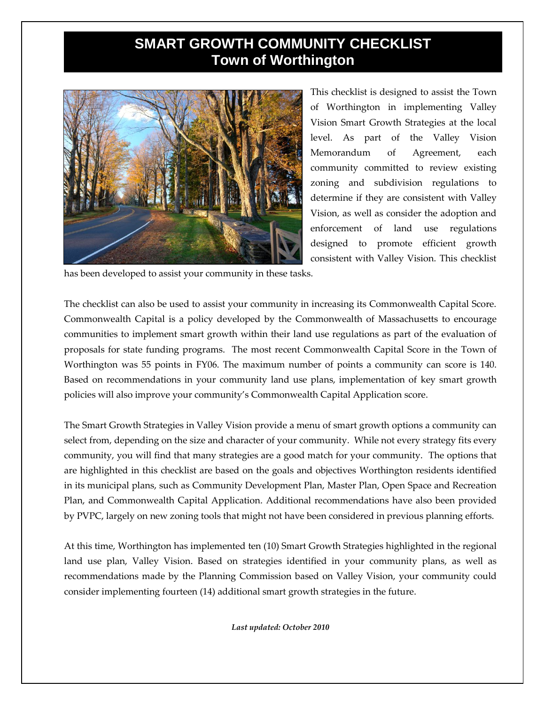## **SMART GROWTH COMMUNITY CHECKLIST Town of Worthington**



This checklist is designed to assist the Town of Worthington in implementing Valley Vision Smart Growth Strategies at the local level. As part of the Valley Vision Memorandum of Agreement, each community committed to review existing zoning and subdivision regulations to determine if they are consistent with Valley Vision, as well as consider the adoption and enforcement of land use regulations designed to promote efficient growth consistent with Valley Vision. This checklist

has been developed to assist your community in these tasks.

The checklist can also be used to assist your community in increasing its Commonwealth Capital Score. Commonwealth Capital is a policy developed by the Commonwealth of Massachusetts to encourage communities to implement smart growth within their land use regulations as part of the evaluation of proposals for state funding programs. The most recent Commonwealth Capital Score in the Town of Worthington was 55 points in FY06. The maximum number of points a community can score is 140. Based on recommendations in your community land use plans, implementation of key smart growth policies will also improve your community's Commonwealth Capital Application score.

The Smart Growth Strategies in Valley Vision provide a menu of smart growth options a community can select from, depending on the size and character of your community. While not every strategy fits every community, you will find that many strategies are a good match for your community. The options that are highlighted in this checklist are based on the goals and objectives Worthington residents identified in its municipal plans, such as Community Development Plan, Master Plan, Open Space and Recreation Plan, and Commonwealth Capital Application. Additional recommendations have also been provided by PVPC, largely on new zoning tools that might not have been considered in previous planning efforts.

At this time, Worthington has implemented ten (10) Smart Growth Strategies highlighted in the regional land use plan, Valley Vision. Based on strategies identified in your community plans, as well as recommendations made by the Planning Commission based on Valley Vision, your community could consider implementing fourteen (14) additional smart growth strategies in the future.

*Last updated: October 2010*